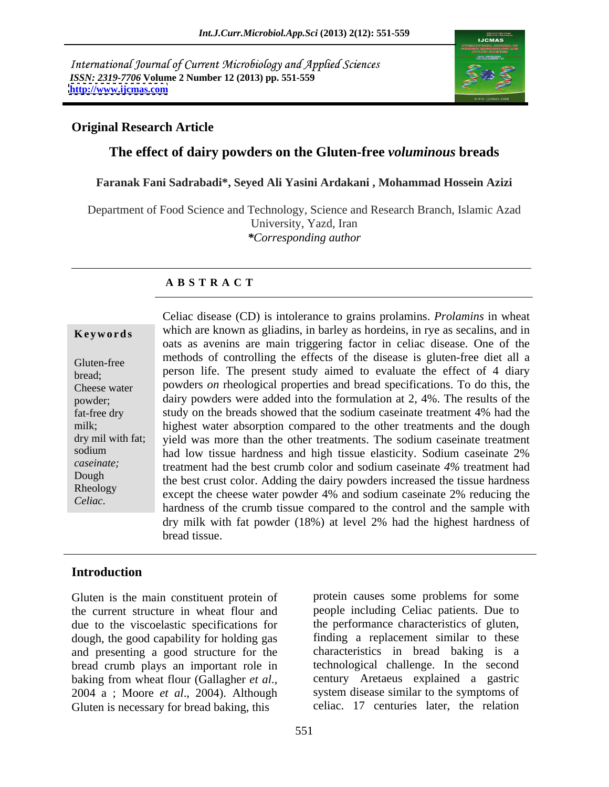International Journal of Current Microbiology and Applied Sciences *ISSN: 2319-7706* **Volume 2 Number 12 (2013) pp. 551-559 <http://www.ijcmas.com>**



# **Original Research Article**

# **The effect of dairy powders on the Gluten-free** *voluminous* **breads**

### **Faranak Fani Sadrabadi\*, Seyed Ali Yasini Ardakani , Mohammad Hossein Azizi**

Department of Food Science and Technology, Science and Research Branch, Islamic Azad University, Yazd, Iran *\*Corresponding author* 

### **A B S T R A C T**

**Keywords** which are known as gliadins, in barley as hordeins, in rye as secalins, and in Gluten-free methods of controlling the effects of the disease is gluten-free diet all a bread; person life. The present study aimed to evaluate the effect of 4 diary Cheese water powders *on* rheological properties and bread specifications. To do this, the powder; dairy powders were added into the formulation at 2, 4%. The results of the fat-free dry study on the breads showed that the sodium caseinate treatment 4% had the milk; highest water absorption compared to the other treatments and the dough dry mil with fat; yield was more than the other treatments. The sodium caseinate treatment sodium had low tissue hardness and high tissue elasticity. Sodium caseinate 2% *caseinate;* treatment had the best crumb color and sodium caseinate *4%* treatment had Dough<br>the best crust color. Adding the dairy powders increased the tissue hardness Rheology<br>
except the cheese water powder 4% and sodium caseinate 2% reducing the Celiac disease (CD) is intolerance to grains prolamins. *Prolamins* in wheat<br>
which are known as gliadins, in barley as hordeins, in rye as secalins, and in<br>
onts as a ventins are main triggering factor in celica disease. oats as avenins are main triggering factor in celiac disease. One of the hardness of the crumb tissue compared to the control and the sample with dry milk with fat powder (18%) at level 2% had the highest hardness of bread tissue.

## **Introduction**

Gluten is the main constituent protein of the current structure in wheat flour and people including Celiac patients. Due to due to the viscoelastic specifications for dough, the good capability for holding gas and presenting a good structure for the bread crumb plays an important role in baking from wheat flour (Gallagher *et al.*, baking from wheat flour (Gallagher *et al*., 2004 <sup>a</sup> ; Moore *et al*., 2004). Although Gluten is necessary for bread baking, this

protein causes some problems for some the performance characteristics of gluten, finding a replacement similar to these characteristics in bread baking is a technological challenge.In the second century Aretaeus explained a gastric system disease similar to the symptoms of celiac. 17 centuries later, the relation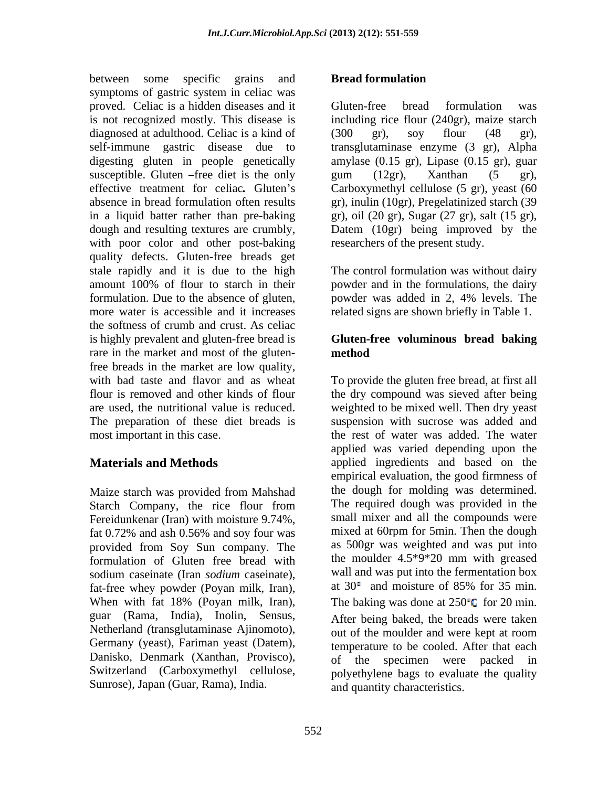between some specific grains and **Bread formulation** symptoms of gastric system in celiac was proved. Celiac is a hidden diseases and it is not recognized mostly. This disease is including rice flour (240gr), maize starch diagnosed at adulthood. Celiac is a kind of (300 gr), soy flour (48 gr), self-immune gastric disease due to transglutaminase enzyme (3 gr), Alpha digesting gluten in people genetically amylase (0.15 gr), Lipase (0.15 gr), guar susceptible. Gluten – free diet is the only gum  $(12gr)$ , Xanthan  $(5 \text{ gr})$ , effective treatment for celiac. Gluten's Carboxymethyl cellulose (5 gr), yeast (60 absence in bread formulation often results gr), inulin (10gr), Pregelatinized starch (39 in a liquid batter rather than pre-baking gr), oil (20 gr), Sugar(27 gr), salt (15 gr), dough and resulting textures are crumbly, Datem (10gr) being improved by the with poor color and other post-baking quality defects. Gluten-free breads get stale rapidly and it is due to the high amount 100% of flour to starch in their powder and in the formulations, the dairy formulation. Due to the absence of gluten, powder was added in 2, 4% levels. The more water is accessible and it increases related signs are shown briefly in Table 1. the softness of crumb and crust. As celiac is highly prevalent and gluten-free bread is **Gluten-free voluminous bread baking** rare in the market and most of the gluten-<br>method free breads in the market are low quality, with bad taste and flavor and as wheat To provide the gluten free bread, at first all flour is removed and other kinds of flour the dry compound was sieved after being are used, the nutritional value is reduced. weighted to be mixed well. Then dry yeast The preparation of these diet breads is most important in this case. the rest of water was added. The water

Maize starch was provided from Mahshad Fereidunkenar (Iran) with moisture 9.74%, provided from Soy Sun company. The as 500gr was weighted and was put into<br>formulation of Gluten free bread with the moulder 4.5\*9\*20 mm with greased formulation of Gluten free bread with sodium caseinate (Iran *sodium* caseinate), wall and was put into the fermentation box<br>fat-free whey powder (Poyan milk Iran) at 30<sup>°</sup> and moisture of 85% for 35 min. fat-free whey powder (Poyan milk, Iran), guar (Rama, India), Inolin, Sensus, Netherland *(*transglutaminase Ajinomoto), Germany (yeast), Fariman yeast (Datem), Danisko, Denmark (Xanthan, Provisco), Switzerland (Carboxymethyl cellulose, Sunrose), Japan (Guar, Rama), India.

### **Bread formulation**

Gluten-free bread formulation was (300 gr), soy flour (48 gr), gum (12gr), Xanthan (5 gr), researchers of the present study.

The control formulation was without dairy powder was added in 2, 4% levels. The

# **method**

**Materials and Methods applied** ingredients and based on the Starch Company, the rice flour from The required dough was provided in the fat 0.72% and ash 0.56% and soy four was mixed at 60rpm for 5min. Then the dough When with fat 18% (Poyan milk, Iran), The baking was done at  $250^{\circ}$ C for 20 min. suspension with sucrose was added and applied was varied depending upon the empirical evaluation, the good firmness of the dough for molding was determined. The required dough was provided in the small mixer and all the compounds were mixed at 60rpm for 5min. Then the dough as 500gr was weighted and was put into the moulder 4.5\*9\*20 mm with greased wall and was put into the fermentation box at  $30^{\circ}$  and moisture of 85% for 35 min. After being baked, the breads were taken out of the moulder and were kept at room temperature to be cooled. After that each of the specimen were packed in polyethylene bags to evaluate the quality and quantity characteristics.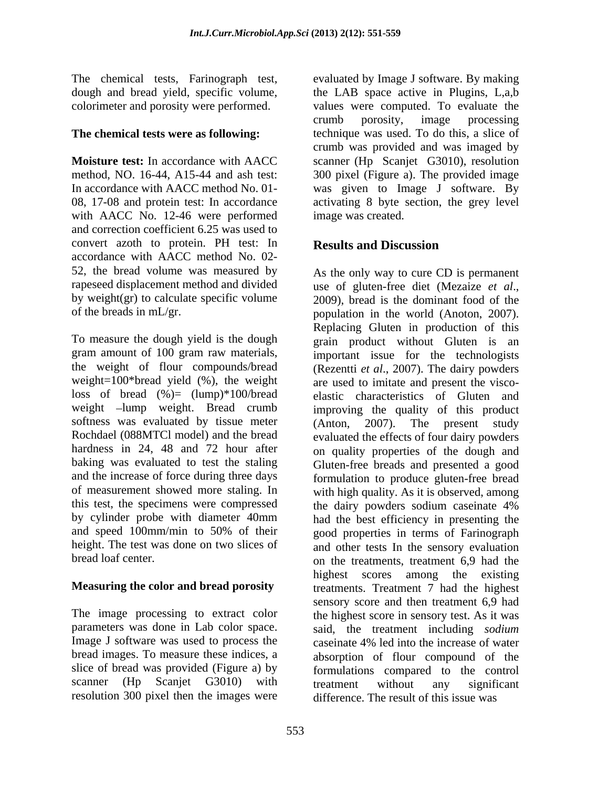with AACC No. 12-46 were performed and correction coefficient 6.25 was used to convert azoth to protein. PH test: In Results and Discussion accordance with AACC method No. 02- 52, the bread volume was measured by As the only way to cure CD is permanent rapeseed displacement method and divided use of gluten-free diet (Mezaize et al., by weight(gr) to calculate specific volume  $2009$ , bread is the dominant food of the

loss of bread  $(\%)=$  (lump)\*100/bread softness was evaluated by tissue meter  $(Anton, 2007)$ . The present study baking was evaluated to test the staling this test, the specimens were compressed the dairy powders sodium caseinate 4% by cylinder probe with diameter 40mm and speed 100mm/min to 50% of their

Image J software was used to process the caseinate 4% led into the increase of water scanner (Hp Scanjet G3010) with treatment without any significant resolution 300 pixel then the images were

The chemical tests, Farinograph test, evaluated by Image J software. By making dough and bread yield, specific volume, the LAB space active in Plugins, L,a,b colorimeter and porosity were performed. values were computed. To evaluate the **The chemical tests were as following:** technique was used. To do this, a slice of **Moisture test:** In accordance with AACC scanner (Hp Scanjet G3010), resolution method, NO. 16-44, A15-44 and ash test: 300 pixel (Figure a).The provided image In accordance with AACC method No. 01- was given to Image J software. By 08, 17-08 and protein test: In accordance activating 8 byte section, the grey level crumb porosity, image processing crumb was provided and was imaged by image was created.

# **Results and Discussion**

of the breads in mL/gr. population in the world (Anoton, 2007). To measure the dough yield is the dough grain product without Gluten is an gram amount of 100 gram raw materials, important issue for the technologists the weight of flour compounds/bread (Rezentti *et al*., 2007). The dairy powders weight=100\*bread yield (%), the weight are used to imitate and present the visco weight –lump weight. Bread crumb improving the quality of this product Rochdael (088MTCl model) and the bread evaluated the effects of four dairy powders hardness in 24, 48 and 72 hour after on quality properties of the dough and and the increase of force during three days formulation to produce gluten-free bread of measurement showed more staling. In with high quality. As it is observed, among height. The test was done on two slices of and other tests In the sensory evaluation bread loaf center. on the treatments, treatment 6,9 had the **Measuring the color and bread porosity** treatments. Treatment 7 had the highest The image processing to extract color the highest score in sensory test. As it was parameters was done in Lab color space. said, the treatment including *sodium* bread images. To measure these indices, a absorption of flour compound of the slice of bread was provided (Figure a) by formulations compared to the control use of gluten-free diet (Mezaize *et al*., 2009), bread is the dominant food of the Replacing Gluten in production of this elastic characteristics of Gluten and (Anton, 2007). The present study Gluten-free breads and presented a good the dairy powders sodium caseinate 4% had the best efficiency in presenting the good properties in terms of Farinograph highest scores among the existing sensory score and then treatment 6,9 had caseinate 4% led into the increase of water treatment without any significant difference. The result of this issue was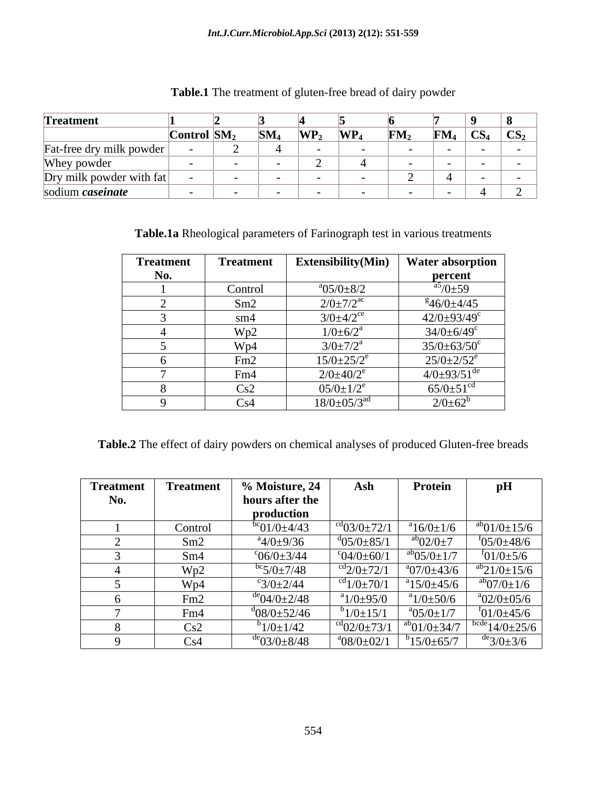| Treatment                  |                                         |                 |            |            |                 |                   |                            |
|----------------------------|-----------------------------------------|-----------------|------------|------------|-----------------|-------------------|----------------------------|
|                            | $\Gamma$ ontrol $\vert$ SM <sub>2</sub> | SM <sub>4</sub> | $\bf WP_2$ | $\bf WP_4$ | FM <sub>2</sub> | $\mathbf{FM}_{4}$ | $\mid CS_4 \mid CS_2 \mid$ |
| Fat-free dry milk powder   |                                         |                 |            |            |                 |                   |                            |
| Whey powder                |                                         |                 |            |            |                 |                   |                            |
| $Dry$ milk powder with fat |                                         |                 |            |            |                 |                   |                            |
| sodium <i>caseinate</i>    |                                         |                 |            |            |                 |                   |                            |

**Table.1** The treatment of gluten-free bread of dairy powder

**Table.1a** Rheological parameters of Farinograph test in various treatments

| <b>Treatment</b> | <b>Treatment</b> | <b>Extensibility</b> (Min)    | Water absorption                |
|------------------|------------------|-------------------------------|---------------------------------|
| No.              |                  |                               | percent                         |
|                  | Control          | $a^{0.5/0+8/2}$               | $\frac{a5}{0}$ + 59             |
|                  | Sm2              | $2/0 \pm 7/2^{\rm ac}$        | $846/0+4/45$                    |
|                  | sm4              | $3/0 \pm 4/2$ <sup>ce</sup>   | $42/0.0 \pm 93/49$ <sup>c</sup> |
|                  | Wp2              | $1/0 \pm 6/2^a$               | $34/0 \pm 6/49$ <sup>c</sup>    |
|                  | Wp4              | $3/0 \pm 7/2^a$               | $35/0 \pm 63/50^{\circ}$        |
|                  | Fm <sub>2</sub>  | $15/0 \pm 25/2$ <sup>e</sup>  | $25/0 \pm 2/52$ <sup>e</sup>    |
|                  | Fm4              | $2/0 \pm 40/2^e$              | $4/0\pm93/51^{\text{de}}$       |
|                  | Cs2              | $05/0 \pm 1/2^e$              | $65/0 \pm 51$ <sup>cd</sup>     |
|                  | Cs4              | $18/0 \pm 05/3$ <sup>ad</sup> | $2/0 \pm 62^b$                  |

**Table.2** The effect of dairy powders on chemical analyses of produced Gluten-free breads

| Treatment | Treatment | 6 Moisture, 24             | Ash                          | Protein                        | pН                                    |
|-----------|-----------|----------------------------|------------------------------|--------------------------------|---------------------------------------|
| No.       |           | hours after the            |                              |                                |                                       |
|           |           | production                 |                              |                                |                                       |
|           | Control   | $^{bc}$ 01/0 $\pm$ 4/43    | $^{cd}$ 03/0 $\pm$ 72/1      | $a^{a}16/0 \pm 1/6$            | $\frac{ab}{01/0}$ + 15/6              |
|           | Sm2       | $\frac{a}{4/0}$ ±9/36      | $\frac{d_{05}}{0.59}$ = 85/1 | $\mathrm{^{ab}O2/0}$ ±7        | $105/0 \pm 48/6$                      |
|           | Sm4       | $^{\circ}06/0\pm3/44$      | $^{\circ}04/0\pm60/1$        | $\mathrm{^{ab}O5/O}$ $\pm 1/7$ | $f_{01/0 \pm 5/6}$                    |
|           | Wp2       | $\frac{100}{5}/0 \pm 7/48$ | $\mathrm{^{cd}2}/0\pm72/1$   | $a_0$ 7/0 $\pm$ 43/6           | $\frac{ab}{21/0}$ + 15/6              |
|           | Wp4       | $\degree$ 3/0 $\pm$ 2/44   | $^{cd}1/0 \pm 70/1$          | $15/0 \pm 45/6$                | $\mathrm{^{ab}O7/0}$ $\pm 1/6$        |
|           | Fm2       | $^{16}$ 04/0 $\pm$ 2/48    | $a_{1/0\pm95/0}$             | $a_{1/0\pm 50/6}$              | $^{\circ}02/0\pm05/6$                 |
|           | Fm4       | $^{d}$ 08/0 $\pm$ 52/46    | $b$ 1/0 $\pm$ 15/1           | $a^{0.5/0 \pm 1/7}$            | $101/0+45/6$                          |
|           | Cs2       | $1/0 \pm 1/42$             | $^{cd}$ 02/0 $\pm$ 73/1      | $a^{ab}$ 01/0 $\pm$ 34/7       | $\frac{1}{1000}$ $\frac{14}{0.25}{6}$ |
|           | Cs4       | $\rm{de}03/0\pm8/48$       | $a^{0}08/0+02/1$             | $315/0 + 65/7$                 | $\rm{de}3/0\pm3/6$                    |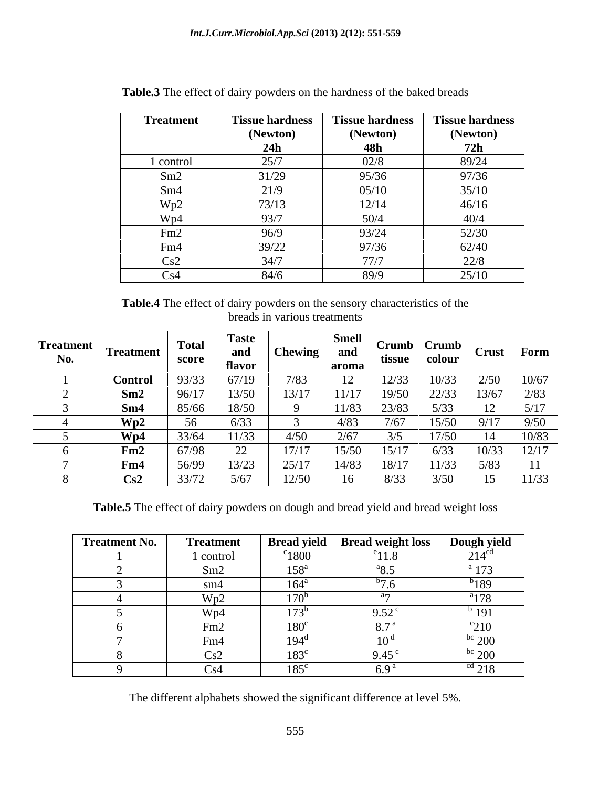| <b>Treatment</b> | <b>Tissue hardness</b> | <b>Tissue hardness</b> | <b>Tissue hardness</b> |
|------------------|------------------------|------------------------|------------------------|
|                  | (Newton)               | (Newton)               | (Newton)               |
|                  | 24h                    | 48h                    | 72h                    |
| l control        | 25/7                   | 02/8                   | 89/24                  |
| Sm2              | 31/29                  | 95/36                  | 97/36                  |
| Sm4              | 21/9                   | 05/10                  | 35/10                  |
| Wp2              | 73/13                  | 12/14                  | 46/16                  |
| Wp4              | 93/7                   | 50/4                   | 40/4                   |
| Fm2              | 96/9                   | 93/24                  | 52/30                  |
| Fm4              | 39/22                  | 97/36                  | 62/40                  |
| Cs2              | 34/7                   | 77/7                   | 22/8                   |
| Cs4              | 84/6                   | 89/9                   | 25/10                  |

**Table.3** The effect of dairy powders on the hardness of the baked breads

**Table.4** The effect of dairy powders on the sensory characteristics of the breads in various treatments

| <b>Treatment</b><br>No. | <b>Treatmen</b> | <b>Total</b><br>score | and<br>flavor  | <b>Chewing</b> | <b>Smel</b><br>and<br>aroma | $Crumb$   $Crumb$<br>tissue | colour | Crust Form     |       |
|-------------------------|-----------------|-----------------------|----------------|----------------|-----------------------------|-----------------------------|--------|----------------|-------|
|                         | <b>Control</b>  | 23/33<br>ر د ر        | C7/10<br>01117 | 1/03           | $\overline{1}$              | 12/33                       | 10/33  | 2/50           | 10/67 |
|                         | Sm2             | 96/17                 | 13/50          | 13/17          | 11/17                       | 19/50                       | 22/33  | 13/67          |       |
|                         | Sm4             | 85/66                 | 18/50          |                | 11/8                        | 23/83                       | J/JJ   |                |       |
|                         | Wp2             |                       |                |                | 4/83                        | 7/c                         | 15/50  | 9/17           |       |
|                         | Wp4             |                       |                |                | $\Omega$<br>2/6             |                             | 17/50  |                | 10/83 |
|                         | Fm2             | 67798                 | 22             | 17/17          | 15/50                       | 15/17                       | 6/33   | 10/33          |       |
|                         | Fm4             | 56/99                 | 13/23          | 25/17          | 14/83                       | 18/17                       | 11/33  | 5/83           |       |
|                         | Cs2             | 33/72                 | 5/67           | 12/50          |                             | U/ JJ                       | 3/50   | $\overline{1}$ | 11/33 |

**Table.5** The effect of dairy powders on dough and bread yield and bread weight loss

| <b>Treatment No.</b> | <b>Treatment</b> | <b>Bread yield</b> | <b>Bread weight loss</b>  | Dough yield       |
|----------------------|------------------|--------------------|---------------------------|-------------------|
|                      | 1 control        | $\degree$ 1800     | $e_{11}$ $\alpha$<br>11.8 | 214 <sup>cd</sup> |
|                      | Sm2              | $158^{\circ}$      | $a_{\mathbf{Q}}$ $\leq$   | $^{\circ}$ 173    |
|                      | sm4              | $164^{\mathrm{a}}$ |                           | $b$ 189           |
|                      | Wp2              | 170 <sup>b</sup>   |                           | $a_{178}$         |
|                      | W <sub>p4</sub>  | 173 <sup>b</sup>   | 0.52<br>، ب               | $^{b}$ 191        |
|                      | Fm2              | $180^\circ$        | $Q \mathcal{T}^{\alpha}$  | $\frac{c}{210}$   |
|                      | Fm4              | $194^\circ$        |                           | $\frac{bc}{200}$  |
|                      | Cs2              | $183^{\circ}$      | 9.45                      | $\rm{^{bc}}$ 200  |
|                      | Cs4              | $185^{\circ}$      | $6.9^{8}$                 | <sup>cd</sup> 218 |

The different alphabets showed the significant difference at level 5%.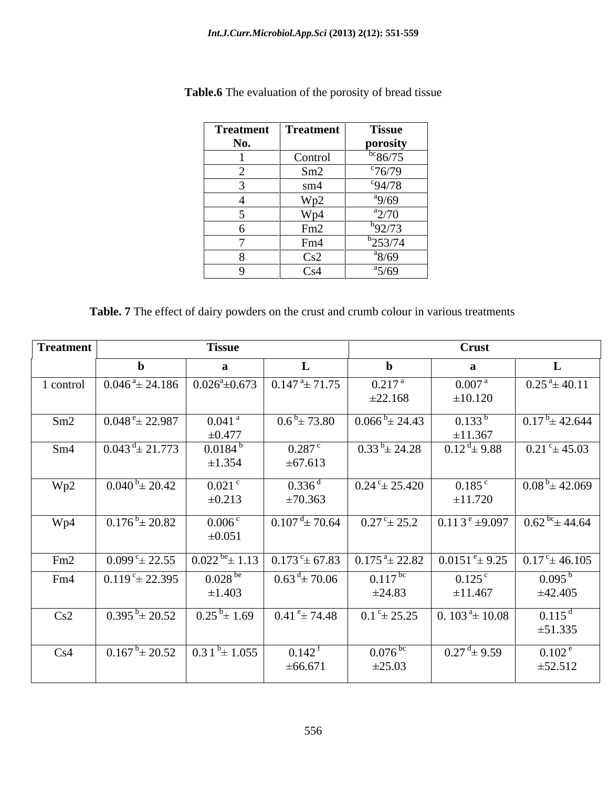| <b>Treatment</b> | <b>Treatment</b> | <b>Tissue</b>         |
|------------------|------------------|-----------------------|
| No.              |                  | porosity              |
|                  | Control          | $^{bc}86/75$          |
|                  | Sm2              | $\degree$ 76/79       |
|                  | sm4              | $^{c}94/78$           |
|                  | Wp2              | $^{a}9/69$            |
|                  | Wp4              | $a_{2/70}$            |
|                  | Fm2              | $^{b}92/73$           |
|                  | Fm4              | $b$ <sub>253/74</sub> |
|                  | Cs2              | $a_8/69$              |
|                  | Cs4              | $a_{5/69}$            |

**Table.6** The evaluation of the porosity of bread tissue

**Table. 7** The effect of dairy powders on the crust and crumb colour in various treatments

| Treatment |                                                                                                  | <b>Tissue</b>                       |                                                                                                                                                  |                           | Crust                                  |                                                            |
|-----------|--------------------------------------------------------------------------------------------------|-------------------------------------|--------------------------------------------------------------------------------------------------------------------------------------------------|---------------------------|----------------------------------------|------------------------------------------------------------|
|           |                                                                                                  |                                     |                                                                                                                                                  |                           |                                        |                                                            |
| 1 control | $0.046^{\frac{a}{2}}$ 24.186 $\big  0.026^{\frac{a}{2}}$ 0.673 $\big  0.147^{\frac{a}{2}}$ 71.75 |                                     |                                                                                                                                                  | $0.217$ <sup>a</sup>      | 0.007 <sup>a</sup>                     | $0.25^{\text{a}} \pm 40.11$                                |
|           |                                                                                                  |                                     |                                                                                                                                                  | $\pm 22.168$              | ±10.120                                |                                                            |
| Sm2       | $0.048^{\degree} \pm 22.987$                                                                     | $0.041$ <sup>a</sup><br>$\pm 0.477$ | $0.6^{b} \pm 73.80$                                                                                                                              | $0.066^{b} \pm 24.43$     | $0.133^{b}$                            | $0.17^{b} \pm 42.644$                                      |
| Sm4       | $0.043^{\mathrm{d}} \pm 21.773$                                                                  | $0.0184^{b}$                        | $0.287$ c                                                                                                                                        | $0.33^{b} \pm 24.28$      | ±11.367<br>$0.12^{\text{ d}} \pm 9.88$ | $0.21^{\circ} \pm 45.03$                                   |
|           |                                                                                                  | ±1.354                              | $\pm 67.613$                                                                                                                                     |                           |                                        |                                                            |
| Wp2       | $0.040^{b} \pm 20.42$                                                                            | $0.021$ c                           | $0.336$ <sup>d</sup>                                                                                                                             | $0.24^{\circ} \pm 25.420$ | $0.185^{\circ}$                        | $0.08^{b} \pm 42.069$                                      |
|           |                                                                                                  | ±0.213                              | ±70.363                                                                                                                                          |                           | ±11.720                                |                                                            |
| Wp4       | $0.176^{b} \pm 20.82$                                                                            | $0.006^{\circ}$                     | $0.107^{\mathrm{d}} \pm 70.64$                                                                                                                   | $0.27^{\circ}$ ± 25.2     |                                        | $\boxed{0.113^{\circ} \pm 9.097}$ $0.62^{\circ} \pm 44.64$ |
|           |                                                                                                  | $\pm 0.051$                         |                                                                                                                                                  |                           |                                        |                                                            |
| Fm2       | $0.099^{\circ}$ ± 22.55                                                                          |                                     | $0.022^{b\text{e}} \pm 1.13$ $0.173^{\text{c}} \pm 67.83$ $0.175^{\text{a}} \pm 22.82$ $0.0151^{\text{e}} \pm 9.25$ $0.17^{\text{c}} \pm 46.105$ |                           |                                        |                                                            |
| Fm4       | $0.119^{\circ} \pm 22.395$                                                                       | $0.028^{be}$                        | $0.63^{\mathrm{d}} \pm 70.06$                                                                                                                    | $0.117^{bc}$              | $0.125^{\circ}$                        | $0.095^{b}$                                                |
|           |                                                                                                  | ±1.403                              |                                                                                                                                                  | ±24.83                    | ±11.467                                | $\pm 42.405$                                               |
| Cs2       | $0.395^{b} \pm 20.52$                                                                            | $0.25^{\circ}$ ± 1.69               | $0.41^{\circ}$ ± 74.48                                                                                                                           | $0.1^{\circ}$ ± 25.25     | 0. $103^{\text{a}} \pm 10.08$          | $0.115^{d}$                                                |
|           |                                                                                                  |                                     |                                                                                                                                                  |                           |                                        | $\pm 51.335$                                               |
| Cs4       | $0.167^{b} \pm 20.52$ 0.3 $1^{b} \pm 1.055$                                                      |                                     | $0.142^{\text{f}}$                                                                                                                               | $0.076$ <sup>bc</sup>     | $0.27^{\text{ d}} \pm 9.59$            | $0.102^{\text{e}}$                                         |
|           |                                                                                                  |                                     | ±66.671                                                                                                                                          | ±25.03                    |                                        | $\pm 52.512$                                               |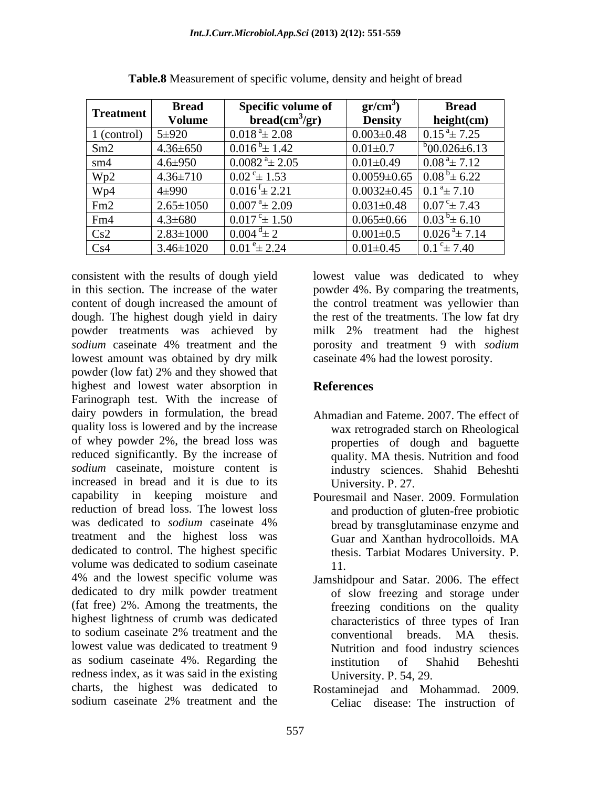| <b>Treatment</b> | <b>Bread</b>    | <b>Specific volume of</b>        | $gr/cm^{\circ}$                               | <b>Bread</b>                |
|------------------|-----------------|----------------------------------|-----------------------------------------------|-----------------------------|
|                  | Volume          | bread(cm <sup>3</sup> /gr)       | <b>Density</b>                                | height(cm)                  |
| 1 (control)      | $5 + 920$       | $0.018^{\text{ a}} \pm 2.08$     | $0.003 \pm 0.48$                              | $0.15^{\text{a}} \pm 7.25$  |
| Sm2              | $4.36 \pm 650$  | $0.016^{b} \pm 1.42$             | $0.01 + 0.7$                                  | $b_{00.026\pm6.13}$         |
| sm4              | $4.6 \pm 950$   | $0.0082$ <sup>a</sup> $\pm 2.05$ | $0.01 \pm 0.49$                               | $0.08^{\text{a}} \pm 7.12$  |
| Wp2              | $4.36 \pm 710$  | $0.02^{\degree} \pm 1.53$        | $0.0059 \pm 0.65$                             | $0.08^{b} \pm 6.22$         |
| Wp4              | 4±990           | $0.016^{\text{t}} \pm 2.21$      | $0.0032 \pm 0.45$ 0.1 <sup>a</sup> $\pm$ 7.10 |                             |
| Fm2              | $2.65 \pm 1050$ | $0.007^{\text{ a}}\pm 2.09$      | $0.031 \pm 0.48$                              | $0.07^{\circ}$ ± 7.43       |
| Fm4              | $4.3 \pm 680$   | $0.017^{\rm c}$ ± 1.50           | $0.065 \pm 0.66$                              | $0.03^{b} \pm 6.10$         |
| Cs2              | $2.83 \pm 1000$ | $0.004^{d}$ ± 2                  | $0.001 \pm 0.5$                               | $0.026^{\text{a}} \pm 7.14$ |
| Cs4              | $3.46 \pm 1020$ | $0.01^{\circ}$ ± 2.24            | $0.01 \pm 0.45$                               | $0.1^{\circ}$ ± 7.40        |

**Table.8** Measurement of specific volume, density and height of bread

in this section. The increase of the water powder 4%. By comparing the treatments, content of dough increased the amount of the control treatment was yellowier than dough. The highest dough yield in dairy the rest of the treatments. The low fat dry powder treatments was achieved by milk 2% treatment had the highest *sodium* caseinate 4% treatment and the porosity and treatment 9 with *sodium* lowest amount was obtained by dry milk case in at 4% had the lowest porosity. powder (low fat) 2% and they showed that highest and lowest water absorption in References Farinograph test. With the increase of dairy powders in formulation, the bread Ahmadian and Fateme. 2007. The effect of quality loss is lowered and by the increase of whey powder 2%, the bread loss was reduced significantly. By the increase of *sodium* caseinate, moisture content is industry sciences. Shahid Beheshti increased in bread and it is due to its capability in keeping moisture and Pouresmail and Naser. 2009. Formulation reduction of bread loss. The lowest loss and production of gluten-free probiotic was dedicated to *sodium* caseinate 4% bread by transglutaminase enzyme and treatment and the highest loss was Guar and Xanthan hydrocolloids. MA dedicated to control. The highest specific volume was dedicated to sodium caseinate  $11$ . 4% and the lowest specific volume was Jamshidpour and Satar. 2006. The effect dedicated to dry milk powder treatment (fat free) 2%. Among the treatments, the highest lightness of crumb was dedicated to sodium caseinate 2% treatment and the conventional breads. MA thesis. lowest value was dedicated to treatment 9 Nutrition and food industry sciences as sodium caseinate 4%. Regarding the redness index, as it was said in the existing charts, the highest was dedicated to Rostaminejad and Mohammad. 2009. sodium caseinate 2% treatment and the Celiac disease: The instruction of

consistent with the results of dough yield lowest value was dedicated to whey milk 2% treatment had the highest caseinate 4% had the lowest porosity.

# **References**

- wax retrograded starch on Rheological properties of dough and baguette quality. MA thesis. Nutrition and food University. P. 27.
- bread by transglutaminase enzyme and Guar and Xanthan hydrocolloids. MA thesis. Tarbiat Modares University. P. 11.
- of slow freezing and storage under freezing conditions on the quality characteristics of three types of Iran conventional breads. MA thesis. institution of Shahid Beheshti University. P. 54, 29.
- Celiac disease: The instruction of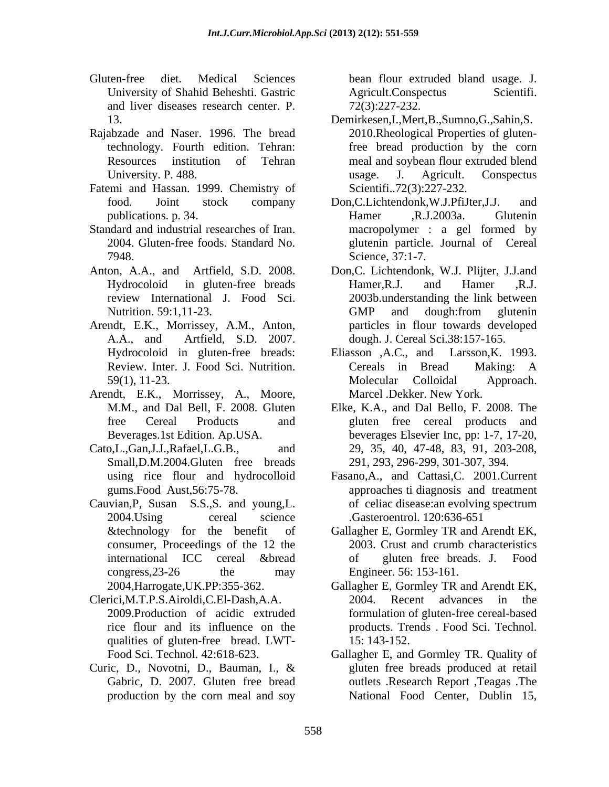- Gluten-free diet. Medical Sciences bean flour extruded bland usage. J. University of Shahid Beheshti. Gastric and liver diseases research center. P.
- Rajabzade and Naser. 1996. The bread
- Fatemi and Hassan. 1999. Chemistry of
- 
- 
- Arendt, E.K., Morrissey, A.M., Anton,
- Arendt, E.K., Morrissey, A., Moore,
- Small,D.M.2004.Gluten free breads
- Cauvian,P, Susan S.S.,S. and young,L. consumer, Proceedings of the 12 the
- Clerici,M.T.P.S.Airoldi,C.El-Dash,A.A. qualities of gluten-free bread. LWT-
- Gabric, D. 2007. Gluten free bread production by the corn meal and soy

bean flour extruded bland usage. J.<br>Agricult.Conspectus Scientifi. 72(3):227-232.

- 13. Demirkesen,I.,Mert,B.,Sumno,G.,Sahin,S. technology. Fourth edition. Tehran: free bread production by the corn Resources institution of Tehran meal and soybean flour extruded blend University. P. 488. The same state of the same state of the same state of the same state of the same state of the same state of the same state of the same state of the same state of the same state of the same state of the 2010.Rheological Properties of glutenusage. J. Agricult. Conspectus Scientifi..72(3):227-232.
- food. Joint stock company Don,C.Lichtendonk,W.J.PfiJter,J.J. and publications. p. 34. Standard and industrial researches of Iran. macropolymer : a gel formed by 2004. Gluten-free foods. Standard No. glutenin particle. Journal of Cereal 7948. Science, 37:1-7. Hamer ,R.J.2003a. Glutenin
- Anton, A.A., and Artfield, S.D. 2008. Don,C. Lichtendonk, W.J. Plijter, J.J.and Hydrocoloid in gluten-free breads Hamer, R.J. and Hamer , R.J. review International J. Food Sci. 2003b.understanding the link between Nutrition. 59:1,11-23. GMP and dough:from glutenin A.A., and Artfield, S.D. 2007. dough. J. Cereal Sci.38:157-165. Hamer,R.J. and Hamer ,R.J. GMP and dough:from glutenin particles in flour towards developed
	- Hydrocoloid in gluten-free breads: Eliasson ,A.C., and Larsson, K. 1993. Review. Inter. J. Food Sci. Nutrition. Cereals in Bread Making: A 59(1), 11-23. Molecular Colloidal Approach. Eliasson ,A.C., and Larsson,K. 1993. Cereals in Bread Making: A Molecular Colloidal Approach. Marcel .Dekker. New York.
- M.M., and Dal Bell, F. 2008. Gluten Elke, K.A., and Dal Bello, F. 2008. The free Cereal Products and gluten free cereal products and Beverages.1st Edition. Ap.USA. beverages Elsevier Inc, pp: 1-7, 17-20, Cato,L.,Gan,J.J.,Rafael,L.G.B., and 29, 35, 40, 47-48, 83, 91, 203-208, 291, 293, 296-299, 301-307, 394.
	- using rice flour and hydrocolloid Fasano,A., and Cattasi,C. 2001.Current gums.Food Aust,56:75-78. approaches ti diagnosis and treatment 2004.Using cereal science .Gasteroentrol. 120:636-651 of celiac disease:an evolving spectrum
	- &technology for the benefit of Gallagher E, Gormley TR and Arendt EK, international ICC cereal &bread congress, 23-26 the may Engineer. 56: 153-161. 2003. Crust and crumb characteristics of gluten free breads. J. Food Engineer. 56: 153-161.
	- 2004,Harrogate,UK.PP:355-362. Gallagher E, Gormley TR and Arendt EK, 2009.Production of acidic extruded formulation of gluten-free cereal-based rice flour and its influence on the products. Trends Food Sci. Technol. 2004. Recent advances in the products. Trends . Food Sci. Technol. 15: 143-152.
- Food Sci. Technol. 42:618-623. Gallagher E, and Gormley TR. Quality of Curic, D., Novotni, D., Bauman, I., & gluten free breads produced at retail outlets .Research Report ,Teagas .The National Food Center, Dublin 15,